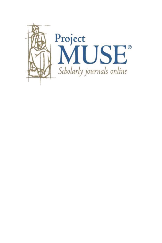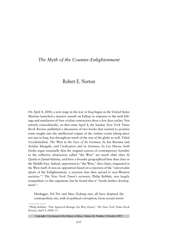# *The Myth of the Counter-Enlightenment*

## Robert E. Norton

On April 4, 2004, a new stage in the war in Iraq began as the United States Marines launched a massive assault on Falluja in response to the mob killings and mutilation of four civilian contractors there a few days earlier. Not entirely coincidentally, on that same April 4, the Sunday *New York Times Book Review* published a discussion of two books that seemed to promise some insight into the intellectual origins of the violent events taking place not just in Iraq, but throughout much of the rest of the globe as well. Titled *Occidentalism. The West in the Eyes of Its Enemies*, by Ian Buruma and Avishai Margalit, and *Civilization and its Enemies*, by Lee Harris, both books argue essentially that the original sources of contemporary hostility to the collective abstraction called ''the West'' are much older than Al Qaeda or Jamal-Islamia, and have a broader geographical base than Asia or the Middle East. Indeed, opposition to ''the West,'' they claim, originated in the West itself. It was an opposition based on a rejection of the ''universalist ideals of the Enlightenment, a reaction that then spread to non-Western societies.''1 The *New York Times*'s reviewer, Philip Bobbitt, was largely sympathetic to this argument, but he found that it ''needs further development'':

Heidegger, Pol Pot and Mao Zedong may all have despised the cosmopolitan city, with its political corruption, loose sexual mores

<sup>1</sup> Philip Bobbitt, ''Our Approval Ratings Are Way Down,'' *The New York Times Book Review*, April 4, 2004, 11.

Copyright  $\circledcirc$  by Journal of the History of Ideas, Volume 68, Number 4 (October 2007)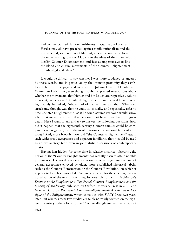and commercialized glamour. Solzhenitsyn, Osama bin Laden and Herder may all have preached against sterile rationalism and the instrumental, secular view of life. But, it is unpersuasive to locate the universalizing goals of Maoism in the ideas of the supremely localist Counter-Enlightenment, and just as unpersuasive to link the blood-and-culture movements of the Counter-Enlightenment to radical, global Islam.<sup>2</sup>

It would be difficult to say whether I was more saddened or angered by those words, and in particular by the intimate proximity they established, both on the page and in spirit, of Johann Gottfried Herder and Osama bin Laden. For, even though Bobbitt expressed reservations about whether the movements that Herder and bin Laden are respectively said to represent, namely the ''Counter-Enlightenment'' and radical Islam, could legitimately be linked, Bobbitt had of course done just that. What also struck me, though, was that he could so casually, and repeatedly, refer to ''the Counter-Enlightenment'' as if he could assume everyone would know what that meant or at least that he would not have to explain it in great detail. Here I want to ask and try to answer the following questions: how did it happen that the eighteenth-century German thinker could be compared, even negatively, with the most notorious international terrorist alive today? And, more broadly, how did ''the Counter-Enlightenment'' attain such widespread acceptance and apparent familiarity that it could be used as an explanatory term even in journalistic discussions of contemporary affairs?

Having lain hidden for some time in relative historical obscurity, the notion of the ''Counter-Enlightenment'' has recently risen to attain notable prominence. The word now even seems on the verge of gaining the kind of general acceptance enjoyed by older, more established historical labels, such as the Counter-Reformation or the Counter-Revolution, on which it appears to have been modeled. One finds evidence for the creeping institutionalization of the term in the titles, for example, of Darrin McMahon's *Enemies of the Enlightenment: The French Counter-Enlightenment and the Making of Modernity*, published by Oxford University Press in 2001 and Graeme Garrard's *Rousseau's Counter-Enlightenment: A Republican Critique of the Enlightenment*, which came out with SUNY Press two years later. But whereas these two studies are fairly narrowly focused on the eighteenth century, others look to the ''Counter-Enlightenment'' as a way of

<sup>2</sup> Ibid.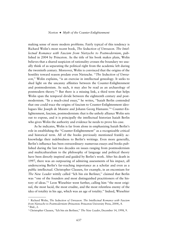making sense of more modern problems. Fairly typical of this tendency is Richard Wolin's most recent book, *The Seduction of Unreason. The Intellectual Romance with Fascism from Nietzsche to Postmodernism*, published in 2004 by Princeton. As the title of his book makes plain, Wolin believes that a shared suspicion of rationality crosses the boundary we usually think of as separating the political right from the academic left during the twentieth century. Moreover, Wolin is convinced that the origins of the hostility toward reason predate even Nietzsche. ''*The Seduction of Unreason*,'' Wolin explains, ''is an exercise in intellectual genealogy. It seeks to shed light on the uncanny affinities between the Counter-Enlightenment and postmodernism. As such, it may also be read as an archaeology of postmodern theory.''3 But there is a missing link, a third term that helps Wolin span the temporal divide between the eighteenth century and postmodernism. ''In a much-cited essay,'' he writes, ''Isaiah Berlin contended that one could trace the origins of fascism to Counter-Enlightenment ideologues like Joseph de Maistre and Johann Georg Hamann.''4 Counter-Enlightenment, fascism, postmodernism: that is the unholy alliance Wolin sets out to expose, and it is principally the intellectual historian Isaiah Berlin who gives Wolin the authority and evidence he needs to prove his case.

As he indicates, Wolin is far from alone in emphasizing Isaiah Berlin's role in establishing the ''Counter-Enlightenment'' as a recognizable critical and historical term. All of the books previously mentioned frankly acknowledge their indebtedness to Berlin's writings. Even more generally, Berlin's influence has been extraordinary: numerous essays and books published during the last two decades on issues ranging from postmodernism and multiculturalism to the philosophy of language and political theory have been directly inspired and guided by Berlin's work. After his death in 1997, there was an outpouring of admiring assessments of his impact, all underscoring Berlin's far-reaching importance as a scholar and even as a public intellectual. Christopher Clausen, for example, in an encomium for *The New Leader* wittily called ''Ich bin ein Berliner,'' claimed that Berlin was ''one of the founders and most distinguished practitioners of the history of ideas.''5 Leon Wieseltier went further, calling him ''the most original, the most lucid, the most erudite, and the most relentless enemy of the idea of totality in his age, which was an age of totality.'' Indeed, Wieseltier

<sup>3</sup> Richard Wolin, *The Seduction of Unreason. The Intellectual Romance with Fascism from Nietzsche to Postmodernism* (Princeton: Princeton University Press, 2004), 8. <sup>4</sup> Ibid., 2.

<sup>5</sup> Christopher Clausen, ''Ich bin ein Berliner,'' *The New Leader*, December 14, 1998, 9.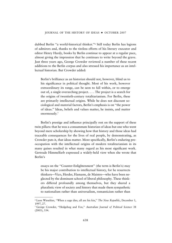dubbed Berlin ''a world-historical thinker.''6 Still today Berlin has legions of admirers and, thanks to the tireless efforts of his literary executor and editor Henry Hardy, books by Berlin continue to appear at a regular pace, almost giving the impression that he continues to write beyond the grave. Just three years ago, George Crowder reviewed a number of these recent additions to the Berlin corpus and also stressed his importance as an intellectual historian. But Crowder added:

Berlin's brilliance as an historian should not, however, blind us to his significance in political thought. Most of his work, however extraordinary its range, can be seen to fall within, or to emerge out of, a single overarching project. . . . The project is a search for the origins of twentieth-century totalitarianism. For Berlin, these are primarily intellectual origins. While he does not discount sociological and material factors, Berlin's emphasis is on ''the power of ideas.'' Ideas, beliefs and values matter, he insists, and matter enormously.7

Berlin's prestige and influence principally rest on the support of these twin pillars: that he was a consummate historian of ideas but one who went beyond mere scholarship by showing how that history and those ideas had traceable consequences for the lives of real people, by demonstrating, as Crowder puts it, that ideas matter. More specifically, Berlin's enduring preoccupation with the intellectual origins of modern totalitarianism in its many guises resulted in what many regard as his most significant work. Gertrude Himmelfarb expressed a widely-held view when she wrote that Berlin's

essays on the ''Counter-Enlightenment'' (the term is Berlin's) may be his major contribution to intellectual history, for he resurrects thinkers—Vico, Herder, Hamann, de Maistre—who have been neglected by the dominant school of liberal philosophy. These thinkers differed profoundly among themselves, but they shared a pluralistic view of society and history that made them sympathetic to nationalism rather than universalism, romanticism rather than

<sup>6</sup> Leon Wieseltier, ''When a sage dies, all are his kin,'' *The New Republic*, December 1, 1997, 27.

<sup>7</sup> George Crowder, ''Hedgehog and Fox,'' *Australian Journal of Political Science* 38 (2003), 334.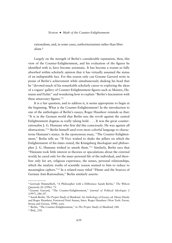rationalism, and, in some cases, authoritarianism rather than liberalism.8

Largely on the strength of Berlin's considerable reputation, then, this view of the Counter-Enlightenment, and his evaluation of the figures he identified with it, have become axiomatic. It has become a truism so fully absorbed within scholarly opinion that it has virtually assumed the status of an indisputable fact. For this reason only can Graeme Garrard write in praise of Berlin's achievement while simultaneously shaking his head that he ''devoted much of his remarkable scholarly career to exploring the ideas of a rogues' gallery of Counter-Enlightenment figures such as Maistre, Hamann and Fichte'' and wondering how to explain ''Berlin's fascination with these unsavoury figures.''9

It is a fair question, and to address it, it seems appropriate to begin at the beginning. What *is* the Counter-Enlightenment? In the introduction to one of the anthologies of Berlin's essays, Roger Hausheer reminds us that: ''It is in the German world that Berlin sees the revolt against the central Enlightenment dogmas as really taking hold. . . . It was the great counterrationalist J. G. Hamann who first did this consciously. He was against all abstractions.''10 Berlin himself used even more colorful language to characterize Hamann's stance. In the eponymous essay, ''The Counter-Enlightenment,'' Berlin tells us: ''If Vico wished to shake the pillars on which the Enlightenment of his times rested, the Königsberg theologian and philosopher J. G. Hamann wished to smash them.''11 Similarly, Berlin says that ''Hamann took little interest in theories or speculations about the external world; he cared only for the inner personal life of the individual, and therefore only for art, religious experience, the senses, personal relationships, which the analytic truths of scientific reason seemed to him to reduce to meaningless ciphers.''12 In a related essay titled ''Hume and the Sources of German Anti-Rationalism,'' Berlin similarly asserts:

<sup>8</sup> Gertrude Himmelfarb, ''A Philosopher with a Difference: Isaiah Berlin,'' *The Wilson Quarterly* 20 (1996): 73.

<sup>9</sup> Graeme Garrard, ''The Counter-Enlightenment,'' *Journal of Political Ideologies* 2 (1997): 286–87.

<sup>10</sup> Isaiah Berlin, *The Proper Study of Mankind. An Anthology of Essays*, ed. Henry Hardy and Roger Hausheer, Foreword Noel Annan, Intro. Roger Hausheer (New York: Farrar, Straus and Giroux, 1998), xxix.

<sup>&</sup>lt;sup>11</sup> Berlin, "The Counter-Enlightenment," in *The Proper Study of Mankind*, 248.

<sup>12</sup> Ibid., 250.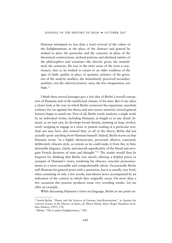Hamann attempted no less than a total reversal of the values of the Enlightenment; in the place of the abstract and general he wished to place the particular and the concrete: in place of the theoretical constructions, stylised patterns and idealised entities of the philosophers and scientists—the directly given, the unmediated, the sensuous. He was in the strict sense of the term a reactionary; that is, he wished to return to an older tradition of the ages of faith: quality in place of quantity, primacy of the given, not of the analytic intellect, the immediately perceived secondary qualities, not the inferred primary ones; the free imagination, not logic.<sup>13</sup>

I think these several passages give a fair idea of Berlin's overall conception of Hamann and of the intellectual climate of his time. But if one takes a closer look at the way in which Berlin constructs his arguments, marshals evidence for (or against) his theses and uses source material, several general features begin to stand out. First of all, Berlin rarely analyzes a single work by an individual writer, including Hamann, at length or in any detail. Instead, as we just saw, he develops broad themes, painting in large strokes, rarely stopping to engage in a close or patient reading of a particular text. And one may have also noticed that, in all of the above, Berlin did not actually quote anything from Hamann himself. Indeed, Berlin warns us that Hamann wrote "in a highly idiosyncratic, perversely allusive, contorted, deliberately obscure style, as remote as he could make it from the, to him, detestable elegance, clarity and smooth superficiality of the bland and arrogant French dictators of taste and thought.''14 The reader would thus be forgiven for thinking that Berlin was merely offering a helpful précis or synopsis of Hamann's views, rendering his obscure, oracular pronouncements in a more accessible and comprehensible idiom. Occasionally Berlin will illustrate his general point with a quotation, but it is usually very brief, often consisting of only a few words, and almost never accompanied by an indication of the context in which they originally occur. On more than a few occasions this practice produces some very revealing results. Let me offer an example.

While discussing Hamann's views on language, Berlin at one point un-

<sup>13</sup> Isaiah Berlin, ''Hume and the Sources of German Anti-Rationalism,'' in *Against the Current: Essays in the History of Ideas*, ed. Henry Hardy, Intro. Roger Hausheer (London: Pimlico, 1997), 170.

<sup>&</sup>lt;sup>14</sup> Berlin, "The Counter-Enlightenment," 249.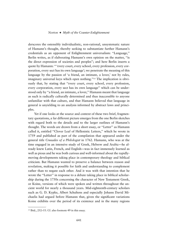derscores the ostensibly individualistic, non-rational, unsystematic nature of Hamann's thought, thereby seeking to substantiate further Hamann's credentials as an opponent of Enlightenment universalism: ''Language,'' Berlin writes, as if elaborating Hamann's own opinion on the matter, ''is the direct expression of societies and peoples''; and here Berlin inserts a quote by Hamann: '' 'every court, every school, every profession, every corporation, every sect has its own language'; we penetrate the meaning of this language by the passion of 'a friend, an intimate, a lover,' not by rules, imaginary universal keys which open nothing.''15 The implication is obviously that, by stating that ''every court, every school, every profession, every corporation, every sect has its own language'' which can be understood only by ''a friend, an intimate, a lover,'' Hamann meant that language as such is radically culturally determined and thus inaccessible to anyone unfamiliar with that culture, and that Hamann believed that language in general is unyielding to an analysis informed by abstract laws and principles.

Yet if one looks at the source and context of these two brief, fragmentary quotations, a far different picture emerges from the one Berlin sketches with regard both to the details and to the larger outlines of Hamann's thought. The words are drawn from a short essay, or ''Letter'' as Hamann called it, entitled ''Clover Leaf of Hellenistic Letters,'' which he wrote in 1759 and published as part of the compilation that appeared under the general title *Crusades of a Philologist* in 1762. Hamann, who was at the time engaged in an intensive study of Greek, Hebrew and Arabic—he already knew Latin, French, and English—was in fact immensely learned as well as pious and he was both curious and well-informed about the rapidlymoving developments taking place in contemporary theology and biblical criticism. But Hamann wanted to preserve a balance between reason and revelation, making it possible for faith and understanding to complement rather than to negate each other. And it was with that intention that he wrote the "Letter" in response to a debate taking place in biblical scholarship during the 1750s concerning the character of New Testament Greek, or Koine, versions of which were spoken and written throughout the ancient world for nearly a thousand years. Mid-eighteenth-century scholars such as G. D. Kypke, Albert Schultens and especially Johann David Michaelis had argued before Hamann that, given the significant variations Koine exhibits over the period of its existence and in the many regions

<sup>15</sup> Ibid., 252–53. Cf. also footnote 49 in this essay.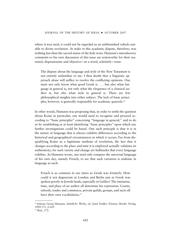where it was used, it could not be regarded as an unblemished vehicle suitable to divine revelation. At stake in this academic dispute, therefore, was nothing less than the sacred status of the holy texts. Hamann's introductory comments to his own discussion of this issue are noteworthy for their reasoned, dispassionate and objective—in a word, scholarly—tone:

The dispute about the language and style of the New Testament is not entirely unfamiliar to me. I thus doubt that a linguistic approach alone will suffice to resolve the conflicting opinions. One must not only know what good Greek is . . . but also what language in general is, not only what the eloquence of a classical author is, but also what style in general is. There are few philosophical insights into either subject. The lack of basic principles, however, is generally responsible for academic quarrels.16

In other words, Hamann was proposing that, in order to settle the question about Koine in particular, one would need to recognize and proceed according to ''basic principles'' concerning ''language in general,'' and to do so by establishing or at least identifying ''basic principles'' upon which any further investigations could be based. One such principle is that it is in the nature of language that it always exhibits differences according to the historical and geographical circumstances in which it occurs. Far from disqualifying Koine as a legitimate medium of revelation, the fact that it changes according to the place and time it is employed actually validates its authenticity, for such variety and change are hallmarks that every language exhibits. As Hamann wrote, one need only compare the universal language of his own day, namely French, to see that such variation is endemic in language as such:

French is as common in our times as Greek was formerly. How could it not degenerate in London and Berlin just as Greek was spoken poorly in Jewish lands, especially in Galilee? The intention, time, and place of an author all determine his expression. Courts, schools, trades and commerce, private guilds, groups, and sects all have their own vocabularies.<sup>17</sup>

<sup>&</sup>lt;sup>16</sup> Johann Georg Hamann, Sämtliche Werke, ed. Josef Nadler (Vienna: Herder Verlag, 1949–57), 2:169.

<sup>17</sup> Ibid., 172.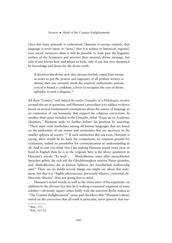Once this basic principle is understood, Hamann is saying—namely, that language is never static or "pure," that it is subject to historical, regional, even social variation—then it will be possible to look past the linguistic surface of the Scriptures and perceive their internal, divine message, but only if one knows how and where to look, only if one has eyes sharpened by knowledge and desire for the divine truth:

If therefore the divine style also chooses foolish, vapid, base means in order to put the powers and ingenuity of all profane writers to shame, then one certainly needs the inspired, enthusiastic, jealous eyes of a friend, a confidant, a lover to recognize the rays of divine splendor in such a disguise.<sup>18</sup>

All three ''Letters,'' and indeed the entire *Crusades of a Philologist*, revolve around this set of questions, and Hamann's procedure is to adduce evidence based on several fundamental assumptions about the nature of language as an expression of our humanity that support his religious convictions. In another short piece included in the *Crusades*, titled ''Essay on an Academic Question,'' Hamann seeks to further bolster his position by asserting: ''There must exist similarities among all human languages that are based on the uniformity of our nature and similarities that are necessary in the smaller spheres of society."<sup>19</sup> If such similarities did not exist, Hamann is saying, there would be no basis for comparison, no common ground for evaluation, indeed no possibility for communication or understanding at all. And in case you think that I am making Hamann sound more clear or lucid in English than he is in the original, here is the above quotation in Hamann's words: "Es muß . . . Ähnlichkeiten unter allen menschlichen Sprachen geben, die sich auf die Gleichförmigkeit unserer Natur gründen, und Ähnlichkeiten, die in kleinen Sphären der Gesellschaft nothwendig sind.'' There are no doubt several things one might say about this statement, but that it is ''highly idiosyncratic, perversely allusive, contorted, deliberately obscure'' does not spring first to mind.

Hamann's actual words, as well as the entire tenor of his argument—in addition to the obvious fact that he *is* making a reasoned argument of some subtlety—obviously square rather badly with the assertion Berlin makes in ''The Counter-Enlightenment'' essay and elsewhere that ''Hamann's theses rested on the conviction that all truth is particular, never general: that rea-

<sup>18</sup> Ibid., 171.

<sup>19</sup> Ibid., 121–22.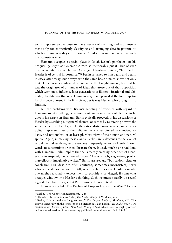son is impotent to demonstrate the existence of anything and is an instrument only for conveniently classifying and arranging data in patterns to which nothing in reality corresponds."<sup>20</sup> Indeed, as we have seen, precisely the opposite is true.

Hamann occupies a special place in Isaiah Berlin's pantheon—or his ''rogues' gallery,'' as Graeme Garrard so memorably put it—but of even greater significance is Herder. As Roger Hausheer puts it, ''For Berlin, Herder is of central importance."<sup>21</sup> Berlin returned to him again and again, in essay after essay, but always with the same basic aim: to show not only that Herder was a confirmed opponent of the Enlightenment, but that he was the originator of a number of ideas that arose out of that opposition which went on to influence later generations of illiberal, irrational and ultimately totalitarian thinkers. Hamann may have provided the first impetus for this development in Berlin's view, but it was Herder who brought it to fruition.

But the problems with Berlin's handling of evidence with regard to Hamann are, if anything, even more acute in his treatment of Herder. As he does in his essays on Hamann, Berlin typically proceeds in his discussions of Herder by sketching out general themes, or rather by reiterating always the same theme: that Herder, unlike the rationalistic, materialistic, and cosmopolitan representatives of the Enlightenment, championed an emotive, holistic, and nationalist, or at least pluralist, view of the human and natural sphere. Again, in making these claims, Berlin rarely descends to the level of actual textual analysis, and even less frequently refers to Herder's own words to substantiate or even illustrate them. Indeed, much as he had done with Hamann, Berlin implies that he is merely creating order out of Herder's own inspired, but cluttered prose. ''He is a rich, suggestive, prolix, marvellously imaginative writer,'' Berlin assures us, ''but seldom clear or conclusive. His ideas are often confused, sometimes inconsistent, never wholly specific or precise."<sup>22</sup> Still, when Berlin does cite Herder's words, one might reasonably expect them to provide a privileged, if somewhat opaque, window into Herder's thinking. Such instances actually do reveal a great deal, but in ways that Berlin surely did not intend.

In an essay titled ''The Decline of Utopian Ideas in the West,'' for ex-

<sup>20</sup> Berlin, ''The Counter-Enlightenment,'' 249.

<sup>&</sup>lt;sup>21</sup> Hausheer, Introduction to Berlin, *The Proper Study of Mankind*, xxx.

<sup>&</sup>lt;sup>22</sup> Berlin, "Herder and the Enlightenment," *The Proper Study of Mankind*, 429. This essay is identical with the long section on Herder in Isaiah Berlin, *Vico and Herder: Two Studies in the History of Ideas* (New York: Viking, 1976), which itself is a slightly revised and expanded version of the same essay published under the same title in 1965.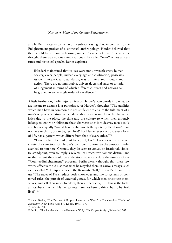ample, Berlin returns to his favorite subject, saying that, in contrast to the Enlightenment project of a universal anthropology, Herder believed that there could be no comprehensive, unified ''science of man,'' because he thought there was no one thing that could be called ''man'' across all cultures and historical epochs. Berlin explains:

[Herder] maintained that values were not universal; every human society, every people, indeed every age and civilization, possesses its own unique ideals, standards, way of living and thought and action. There are no immutable, universal, eternal rules or criteria of judgement in terms of which different cultures and nations can be graded in some single order of excellence.<sup>23</sup>

A little further on, Berlin injects a few of Herder's own words into what we are meant to assume is a paraphrase of Herder's thought: ''The qualities which men have in common are not sufficient to ensure the fulfilment of a man's or people's nature, which depends at least as much on the characteristics due to the place, the time and the culture to which men uniquely belong; to ignore or obliterate these characteristics is to destroy men's souls and bodies equally.''—and here Berlin inserts the quote by Herder—'' 'I am not here to think, but to be, feel, live!' For Herder every action, every form of life, has a pattern which differs from that of every other.''24

''I am not here to think, but to be, feel, live**!**'' These eleven words constitute the sum total of Herder's own contribution to the position Berlin ascribed to him here. Granted, they do seem to convey an irrational, vitalistic standpoint, even to imply a reversal of Descartes's famous dictum, and to that extent they could be understood to encapsulate the essence of the ''Counter-Enlightenment'' program. Berlin clearly thought that these few words effectively did just that since he recycled them in various essays, such as one called ''The Apotheosis of the Romantic Will,'' where Berlin informs us: ''The sages of Paris reduce both knowledge and life to systems of contrived rules, the pursuit of external goods, for which men prostitute themselves, and sell their inner freedom, their authenticity; . . . This is the bitter atmosphere in which Herder writes: 'I am not here to think, but to be, feel, live!' "25

<sup>23</sup> Isaiah Berlin, ''The Decline of Utopian Ideas in the West,'' in *The Crooked Timber of Humanity* (New York: Alfred A. Knopf, 1991), 37.

<sup>24</sup> Ibid., 39–40.

<sup>25</sup> Berlin, ''The Apotheosis of the Romantic Will,'' *The Proper Study of Mankind*, 567.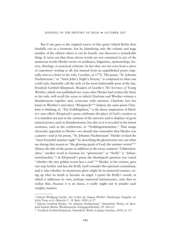But if one goes to the original source of this quote (which Berlin does dutifully cite in a footnote, but by identifying only the volume and page number of the edition where it can be found), one discovers a remarkable thing. It turns out that those eleven words are not contained in any of the numerous works Herder wrote on aesthetics, linguistics, epistemology, history, theology, or practical criticism. In fact they are not even from a piece of expository writing at all, but instead from an unpublished poem originally sent in a letter to his wife, Caroline, in 1772. The poem, ''St. Johanns Nachtstraum,'' or ''Saint John's Night's Dream,'' is composed in what one could only charitably call the style of the most fashionable poet of the day, Friedrich Gottlieb Klopstock. Readers of Goethe's *The Sorrows of Young Werther*, which was published two years after Herder had written the letter to his wife, will recall the scene in which Charlotte and Werther witness a thunderstorm together and, overcome with emotion, Charlotte lays her hand on Werther's and utters "Klopstock!"<sup>26</sup> Indeed, the same poem Charlotte is thinking of, "Die Frühlingsfeier," is the direct inspiration of Herder's own effort. Klopstock's poem celebrates the glory of God's creation as it is manifest not just in the vastness of the universe and in displays of great natural power, such as thunderstorms, but also as it is revealed in his tiniest creatures, such as the earthworm, or "Frühlingswürmchen." That image obviously appealed to Herder—we should also remember that Herder was a pastor—and in his poem, ''St. Johanns Nachtstraum'' Herder evoked the ''most beautiful summer night'' by describing the glowworms one can often see during that season as "the glowing spark of God, the summer worm!"27 (Hence the title of the poem: in addition to the more common "Glühwürmchen," another word in German for "glowworm" or "firefly" is "Johanniswürmchen.") In Klopstock's poem the theological question was raised "whether the tiny golden worm has a soul."<sup>28</sup> Herder, in his version, goes one step further and has the firefly itself consider this spiritual conundrum, and it asks whether its mysterious glow might be its immortal essence, rising up after its death to become an angel. I quote the firefly's words, in which it addresses its own, perhaps immortal luminescence, only then to realize that, because it is an insect, it really ought not to ponder such weighty matters:

<sup>26</sup> Johann Wolfgang Goethe, *Die Leiden des Jungen Werther*. Hamburger Ausgabe, ed. Erich Trunz et al. (Munich: C. H. Beck, 1981), 6: 27.

<sup>&</sup>lt;sup>27</sup> Johann Gottfried Herder, "St. Johanns Nachtstraum," Sämmtliche Werke, ed. Bernhard Suphan (Berlin: Weidmannsche Verlagsgesellschaft), 29: 364–65.

<sup>&</sup>lt;sup>28</sup> Friedrich Gottlieb Klopstock, *Sämmtliche Werke* (Leipzig: Göschen, 1839), 4: 117.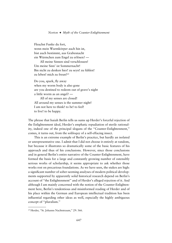Fleuchst Funke du fort, wenn mein Wurmkörper auch hin ist, bist auch bestimmt, aus Grabesnacht ein Würmchen zum Engel zu erlösen? —

All meine Sinnen sind verschlossen! Um meine Sinn' ist Sommernacht! Bin nicht zu denken hier! zu seyn! zu fühlen! zu leben! mich zu freun!29

Do you, spark, fly away when my worm body is also gone are you destined to redeem out of grave's night a little worm as an angel? —

All of my senses are closed! All around my senses is the summer night! I am not here to think! to be! to feel! to live! to be happy.

The phrase that Isaiah Berlin tells us sums up Herder's forceful rejection of the Enlightenment ideal, Herder's emphatic repudiation of sterile rationality, indeed one of the principal slogans of the ''Counter-Enlightenment,'' comes, it turns out, from the soliloquy of a self-effacing insect.

This is an extreme example of Berlin's practice, but hardly an isolated or unrepresentative one. I admit that I did not choose it entirely at random, but because it illustrates so dramatically some of the basic features of his approach and thus of his conclusions. However, since those conclusions and in general Berlin's entire narrative of the Counter-Enlightenment, have formed the basis for a large and constantly growing number of ostensibly serious works of scholarship, it seems appropriate to ask whether those works rest on precarious foundations. As we have seen, the stakes are high: a significant number of sober-seeming analyses of modern political developments supported by apparently solid historical research depend on Berlin's account of ''the Enlightenment'' and of Herder's alleged rejection of it. And although I am mainly concerned with the notion of the Counter-Enlightenment here, Berlin's tendentious and misinformed reading of Herder and of his place within the German and European intellectual tradition has been influential regarding other ideas as well, especially the highly ambiguous concept of ''pluralism.''

<sup>29</sup> Herder, ''St. Johanns Nachtstraum,'' 29: 366.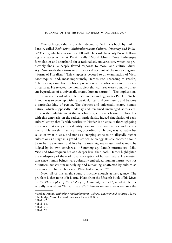One such study that is openly indebted to Berlin is a book by Bhikhu Parekh, called *Rethinking Multiculturalism: Cultural Diversity and Political Theory*, which came out in 2000 with Harvard University Press. Following a chapter on what Parekh calls ''Moral Monism''—a Berlinesque formulation and shorthand for a rationalistic universalism, which he predictably finds ''a deeply flawed response to moral and cultural diversity''30—Parekh then turns to an historical account of the more congenial ''Forms of Pluralism.'' This chapter is devoted to an examination of Vico, Montesquieu, and, most importantly, Herder. For, according to Parekh, ''Herder surpassed both in his appreciation of the wholeness and diversity of cultures. He rejected the monist view that cultures were so many different byproducts of a universally shared human nature.''31 The implications of this view are evident: in Herder's understanding, writes Parekh, ''to be human was to grow up within a particular cultural community and become a particular kind of person. The abstract and universally shared human nature, which supposedly underlay and remained unchanged across cultures as the Enlightenment thinkers had argued, was a fiction.''32 Together with this emphasis on the radical particularity, indeed singularity, of each cultural entity that Parekh ascribes to Herder is an equally thoroughgoing insistence that every cultural entity possessed its own intrinsic and incommensurable worth. ''Each culture, according to Herder, was valuable because of what it was, and not as a stepping stone to an allegedly higher culture or as a stage in a grand historical teleology. Its sole concern should be to be true to itself and live by its own highest values, and it must be judged by its own standards."<sup>33</sup> Summing up, Parekh informs us: "Like Vico and Montesquieu but at a deeper level than both, Herder highlighted the inadequacy of the traditional conception of human nature. He insisted that since human beings were culturally embedded, human nature was not a uniform substratum underlying and remaining unaffected by culture as most monist philosophers since Plato had imagined.''34

Now, all of this might sound attractive enough at first glance. The problem is that none of it is true. Here, from the fifteenth book of his *Ideas on the Philosophy of the History of Humanity* of 1787, is what Herder actually says about ''human nature'': ''Human nature always remains the

<sup>30</sup> Bhikhu Parekh, *Rethinking Multiculturalism. Cultural Diversity and Political Theory* (Cambridge, Mass.: Harvard University Press, 2000), 50.

<sup>31</sup> Ibid., 67.

<sup>32</sup> Ibid., 68.

<sup>33</sup> Ibid., 71.

<sup>34</sup> Ibid., 72.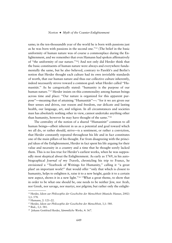same; in the ten-thousandth year of the world he is born with passions just as he was born with passions in the second one.''35 (The belief in the basic uniformity of human nature was of course a commonplace during the Enlightenment, and we remember that even Hamann had spoken affirmatively of ''the uniformity of our nature.''36) And not only did Herder think that the basic constituents of human nature were always and everywhere fundamentally the same, but he also believed, contrary to Parekh's and Berlin's notion that Herder thought each culture had its own inviolable standards of worth, that our human nature and thus our collective culture inherently, indeed necessarily strove toward a common goal: what Herder called ''Humanität." As he categorically stated: "humanity is the purpose of our human nature."<sup>37</sup> Herder insists on this commonality among human beings across time and place: ''Our nature is organized for this apparent purpose"—meaning that of attaining "Humanität"—: "for it we are given our finer senses and drives, our reason and freedom, our delicate and lasting health, our language, art, and religion. In all circumstances and societies man has absolutely nothing other in view, cannot undertake anything other than humanity, however he may have thought of the same.''38

The centrality of the notion of a shared "Humanität" common to all human beings—albeit inherent in us as a potential and goal toward which we all do, or rather should, strive—is a sentiment, or rather a conviction, that Herder constantly repeated throughout his life and in fact constitutes one of the main pillars of his thought. Far from disagreeing with the principal ideas of the Enlightenment, Herder in fact spent his life arguing for their value and necessity in a country and a time that he thought sorely lacked them. This is no less true for Herder's earliest works, when he was supposedly most skeptical about the Enlightenment. As early as 1769, in his autobiographical *Journal of my Travels*, chronicling his trip to France, he envisioned a ''Yearbook of Writings for Humanity,'' calling it ''a great plan! an important work!'' that would offer ''only that which is closest to humanity, helps to enlighten it, raise it to a new height, guide it to a certain new aspect, shows it in a new light."<sup>39</sup> "What a great theme, to show that in order to be what one should be, one needs to be neither Jew, nor Arab, nor Greek, nor savage, nor martyr, nor pilgrim; but rather only the enlight-

<sup>35</sup> Herder, *Ideen zur Philosophie der Geschichte der Menschheit* (Munich: Hanser, 2002) 3,1: 578.

<sup>36</sup> Hamann, 2: 121–22.

<sup>37</sup> Herder, *Ideen zur Philosophie der Geschichte der Menschheit*, 3,1: 580.

<sup>38</sup> Ibid., 3,1: 581.

<sup>&</sup>lt;sup>39</sup> Johann Gottfried Herder, Sämmtliche Werke, 4: 367.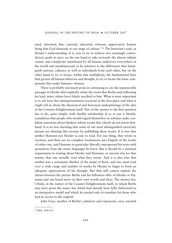ened, informed, fine, rational, educated, virtuous, appreciative human being that God demands at our stage of culture.''40 The historian's task, in Herder's understanding of it, was to try to achieve two seemingly contradictory goals at once: on the one hand to take seriously the almost infinite variety and complexity manifested by all human endeavors everywhere in the world and simultaneously to be attentive to the differences that distinguish nations, cultures, as well as individuals from each other, but on the other hand to try to locate, within this multiplicity, the fundamental laws that govern all human behavior and thought, to try to locate the basic components that make humans—human.

There is probably not much point in continuing to cite the innumerable passages in Herder that explicitly refute the views that Berlin and, following his lead, many others have falsely ascribed to him. What is more important is to ask how this misrepresentation occurred in the first place and what it might tell us about the theoretical and historical underpinnings of the idea of the Counter-Enlightenment itself. Part of the answer to the first question has to do, quite simply, with shoddy scholarship. It is, to put it bluntly, scandalous that people who would regard themselves as scholars make confident assertions about thinkers whose works they clearly do not know firsthand. It is no less alarming that some of our most distinguished university presses are abetting this travesty by publishing these works. It *is* true that neither Hamann nor Herder is easy to read. For one thing, they wrote in German, and there are no complete translations into English of the works of either one, and Hamann in particular liberally interspersed his texts with quotations from the many languages he knew. But it should be a minimal requirement in writing about Herder and Hamann, or anyone else for that matter, that one actually read what they wrote. And it is also true that neither was a systematic thinker of the stripe of Kant, and one must read over a wide range and number of works by Herder to begin to form an adequate appreciation of his thought. But that still cannot explain the chasm between the picture Berlin and his followers offer of Herder or Hamann and one based more on their own words and ideas. The answer lies, I think, in the notion of the Counter-Enlightenment itself, to which Berlin may have given the name, but which had already been fully elaborated as an interpretive model and which he needed only to translate for those who had no access to the original.

John Gray, another of Berlin's admirers and exponents, once asserted

<sup>40</sup> Ibid., 364–65.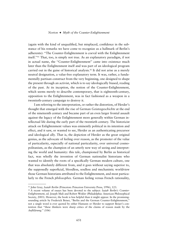(again with the kind of unqualified, but misplaced, confidence in the substance of his remarks we have come to recognize as a hallmark of Berlin's adherents): ''The Counter-Enlightenment is coeval with the Enlightenment itself.''41 That, too, is simply not true. As an explanatory paradigm, if not in actual name, the ''Counter-Enlightenment'' came into existence much later than the Enlightenment itself and was part of an ideological program carried out in the guise of historical analysis.42 It did not arise as a merely neutral designation, a value-free explanatory term. It was, rather, a fundamentally partisan construct from the very beginning, one designed to shape the present through an activist, which is to say ideologically biased, reading of the past. At its inception, the notion of the Counter-Enlightenment, which seems merely to describe contemporary, that is eighteenth-century, opposition to the Enlightenment, was in fact fashioned as a weapon in a twentieth-century campaign to destroy it.

I am referring to the interpretation, or rather the distortion, of Herder's thought that emerged with the rise of German *Geistesgeschichte* at the end of the nineteenth century and became part of an even larger frontal assault against the legacy of the Enlightenment more generally within German intellectual life during the early part of the twentieth century. The historicist attack on Enlightenment values was eminently political in its intention and effect, and it saw, or wanted to see, Herder as an authenticating precursor and ideological ally. That is, the depiction of Herder as the great original genius, as the advocate of feeling over reason, as the promoter of the value of particularity, especially of national particularity, over universal cosmopolitanism, as the champion of an utterly new way of seeing and interpreting the world and humanity: this tale, championed by Berlin as historical fact, was wholly the invention of German nationalist historians who wanted to identify the roots of a specifically German modern culture, one that was absolutely different from, and it goes without saying superior to, the supposedly superficial, bloodless, soulless and mechanistic worldview those German historians attributed to the Enlightenment, and most particularly to the French *philosophes*. German feeling versus French rationality,

<sup>41</sup> John Gray, *Isaiah Berlin* (Princeton: Princeton University Press, 1996), 123.

<sup>42</sup> A recent volume of essays has been devoted to the subject: *Isaiah Berlin's Counter-Enlightenment*, ed. Joseph Mali and Robert Wokler (Philadelphia: American Philosophical Society, 2003). However, the book is less helpful than it might appear. In the promisingsounding article by Frederick Beiser, ''Berlin and the German Counter-Enlightenment,'' not a single word is ever quoted by either Hamann or Herder to support Beiser's contention that ''these thinkers were sharp critics of the claims of reason made by the *Aufkla¨rung.*'' (106)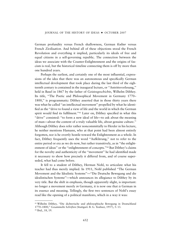German profundity versus French shallowness, German *Kultur* versus French *Zivilisation*. And behind all of these objections stood the French Revolution and everything it implied, particularly its ideals of free and equal citizens in a self-governing republic. The connection between the ideas we associate with the Counter-Enlightenment and the origins of fascism is real, but the historical timeline connecting them is off by more than one hundred years.

Perhaps the earliest, and certainly one of the most influential, expressions of the idea that there was an autonomous and specifically German intellectual development that took place during the last third of the eighteenth century is contained in the inaugural lecture, or ''Antrittsvorlesung,'' held in Basel in 1867 by the father of *Geistesgeschichte*, Wilhelm Dilthey. Its title, ''The Poetic and Philosophical Movement in Germany 1770– 1800," is programmatic: Dilthey asserted that in those thirty years there was what he called ''an intellectual movement'' propelled by what he identified as the ''drive to found a view of life and the world in which the German spirit would find its fulfilment."<sup>43</sup> Later on, Dilthey specified in what this ''drive'' consisted: ''to form a new ideal of life—to ask about the meaning of man—about the content of a truly valuable life, about genuine culture.'' Although Dilthey does refer rather noncommittally to Herder in his lecture, he neither mentions Hamann, who at that point had been almost entirely forgotten, nor is he overtly hostile toward the Enlightenment as a whole. In fact, Dilthey frequently uses the word "Aufklärung," not to refer to the entire period or era as we do now, but rather transitively, as in ''the enlightenment of ideas" or the "enlightenment of concepts."<sup>44</sup> But Dilthey's claims for the novelty and authenticity of the ''movement'' he had identified made it necessary to show how precisely it differed from, and of course superseded, what had come before.

It fell to a student of Dilthey, Herman Nohl, to articulate what his teacher had thus merely implied. In 1911, Nohl published ''The German Movement and the Idealistic Systems''—''Die Deutsche Bewegung und die idealistischen Systeme''—which announces its allegiance to Dilthey by its very title. But the shift in emphasis, though apparently slight, is important: no longer a movement merely *in* Germany, it is now one that *is* German in its essence and meaning. Tellingly, the first two sentences of Nohl's essay read like the opening of a political manifesto, which in a way it was:

<sup>43</sup> Wilhelm Dilthey, ''Die dichterische und philosophische Bewegung in Deutschland 1770–1800,'' *Gesammelte Schriften* (Stuttgart: B. G. Teubner, 1957), 5: 13.

<sup>44</sup> Ibid., 18, 19.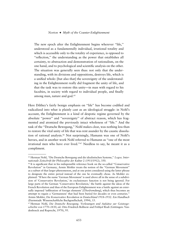The new epoch after the Enlightenment begins wherever "life," understood as a fundamentally individual, irrational totality and which is accessible only to the totality of experience, is opposed to "reflection," the understanding as the power that establishes all certainty, to abstraction and demonstration of rationalism, on the one hand, and to psychological and scientific analysis on the other. The situation was generally seen thus: not only that the understanding, with its divisions and oppositions, destroys life, which is a unified whole: [but also that] the sovereignty of the understanding in the Enlightenment really did fragment the unity of life, and that the task was to restore this unity—in man with regard to his faculties, in society with regard to individual people, and finally among man, nature and god.45

Here Dilthey's fairly benign emphasis on ''life'' has become codified and radicalized into what is plainly cast as an ideological struggle: in Nohl's account, the Enlightenment is a kind of despotic regime governed by the absolute ''power'' and ''sovereignty'' of abstract reason, which has fragmented and atomized the previously intact wholeness of ''life.'' And the task of the ''Deutsche Bewegung,'' Nohl makes clear, was nothing less than to restore the vital unity of life that was rent asunder by the caustic dissolution of rational analysis.46 Not surprisingly, Hamann was one of Nohl's heroes, and in another work Nohl referred to Hamann as ''one of the most irrational men who have ever lived.''47 Needless to say, he meant it as a compliment.

<sup>45</sup> Herman Nohl, ''Die Deutsche Bewegung und die idealistischen Systeme,'' *Logos. Internationale Zeitschrift fu¨r Philosophie der Kultur* 2 (1911/1912), 350.

<sup>46</sup> It is significant that in his indispensible reference book on the so-called ''Conservative Revolution'' in Germany, Armin Mohler treats the notion of the ''German Movement'' as a subset of that larger phenomenon, and at one point considered using the latter phrase to designate the entire period instead of the one he eventually chose. As Mohler explained: ''If here the name 'German Movement' is used above all in the sense of a subdivision of 'Conservative Revolution,' its exclusionary function is not being ignored. For large parts of the German 'Conservative Revolution,' the battle against the ideas of the French Revolution and thus of the European Enlightenment was a battle against an externally imposed 'infiltration of foreign elements' [*Überfremdung*], which thus becomes an attempt to regain a 'Germanness' that had been buried for decades or even centuries.'' Armin Mohler, *Die Konservative Revolution in Deutschland 1918–1932. Ein Handbuch* (Darmstadt: Wissenschaftliche Buchgesellschaft, 1994), 15.

<sup>&</sup>lt;sup>47</sup> Herman Nohl, Die Deutsche Bewegung. Vorlesungen und Aufsätze zur Geistesgeschichte von 1770–1830, ed. Otto Friedrich Bollnow and Frithjof Rodi (Göttingen: Vandenhoeck and Ruprecht, 1970), 95.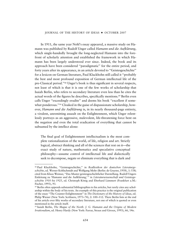In 1911, the same year Nohl's essay appeared, a massive study on Hamann was published by Rudolf Unger called *Hamann und die Aufklärung*, which single-handedly brought the long-neglected Hamann into the forefront of scholarly attention and established the framework in which Hamann has been largely understood ever since. Indeed, the book and its approach have been considered ''paradigmatic'' for the entire period, and forty years after its appearance, in an article devoted to ''Geistesgeschichte'' for a lexicon on German literature, Paul Kluckhohn still called it ''probably the best and most profound exposition of German intellectual life of the pre-Classical period."<sup>48</sup> Unger's book is thus significant in several respects, not least of which is that it is one of the few works of scholarship that Isaiah Berlin, who refers to secondary literature even less than he cites the actual words of the figures he describes, specifically mentions.49 Berlin even calls Unger ''exceedingly erudite'' and deems his book ''excellent if somewhat ponderous."<sup>50</sup> Cloaked in the guise of dispassionate scholarship, however, *Hamann und die Aufklärung* is, in its nearly thousand-page entirety, a virulent, unremitting assault on the Enlightenment, which Unger relentlessly portrays as an aggressive, malevolent, life-threatening force bent on the negation and even the total eradication of everything that cannot be subsumed by the intellect alone:

The final goal of Enlightenment intellectualism is the most complete rationalization of the world, of life, religion and art. Strictly logical, abstract thinking and all of the sciences that rest on it—the exact study of nature, mathematics and speculative conceptual philosophy—assume control of intellectual life and dialectically seek to decompose, negate or eliminate everything that is dark and

<sup>48</sup> Paul Kluckhohn, ''Geistesgeschichte,'' in *Reallexikon der deutschen Literaturgeschichte*, ed. Werner Kohlschmidt and Wolfgang Mohr (Berlin: de Gruyter, 1958), 1: 538; cited from Klaus Weimar, ''Das Muster geistesgeschichtlicher Darstellung. Rudolf Ungers Einleitung zu 'Hamann und die Aufklärung,'" in *Literaturwissenschaft und Geistesgeschichte 1910 bis 1925*, ed. Christoph König and Eberhard Lämmert (Frankfurt a.M.: Fischer, 1993), 93.

<sup>49</sup> Berlin often appends substantial bibliographies to his articles, but rarely cites any scholarship within the body of his texts. An example of this practice is the original publication of the essay ''The Counter-Enlightenment'' in *The Dictionary of the History of Ideas*, ed. Philip Wiener (New York: Scribners, 1973–74), 2: 100–112. There Berlin lists at the end of his article over fifty works of secondary literature, not one of which is quoted or even mentioned in the article itself.

<sup>50</sup> Isaiah Berlin, *The Magus of the North. J. G. Hamann and the Origins of Modern Irrationalism*, ed. Henry Hardy (New York: Farrar, Straus and Giroux, 1993), 66, 14n.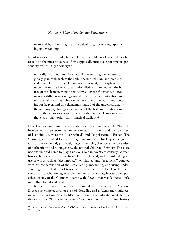irrational by submitting it to the calculating, measuring, appraising understanding.<sup>51</sup>

Faced with such a formidable foe, Hamann would have had no choice but to rely on the inner resources of his supposedly intuitive, spontaneous personality, which Unger portrays as

naturally irrational and formless like everything elementary, originary, primeval, such as the child, the natural man, and prehistorical time. From it [i.e. Hamann's personality] is explained his uncompromising hatred of all rationalistic culture and art: the hatred of the elementary man against weak over-refinement and fragmentary differentiation, against all intellectual sophistication and immaterial pleasures. This elementary love of the earth and longing for heaven and this elementary hatred of the understanding is the unifying psychological source of all the brilliant intuitions and all of the semi-conscious half-truths that imbue Hamann's aesthetic spiritual world with its magical twilight.<sup>52</sup>

Here Unger's bombastic, bellicose rhetoric gives him away. The ''hatred'' he repeatedly imputes to Hamann was in reality his own, and the true target of his animosity were the ''over-refined'' and ''sophisticated'' French. The Germans, exemplified by their proxy Hamann, were for Unger the guardians of the elemental, primeval, magical twilight, they were the defenders of authenticity and homogeneity, the natural children of history. These are notions that did come to play a noxious role in twentieth-century German history, but they do not come from Hamann. Indeed, with regard to Unger's use of words such as "decompose," "eliminate," and "fragment," coupled with his condemnation of the "calculating, measuring, appraising understanding,'' I think it is not too much of a stretch to detect here the faint rhetorical foreshadowing of a similar line of attack against another perceived enemy of the Germans—namely, the Jews—that was launched little more than two decades later.

It is safe to say that no one acquainted with the works of Voltaire, Diderot or Montesquieu, or even of Condillac and d'Alembert, would recognize them in Unger's or Nohl's description of the Enlightenment. But the theorists of the ''Deutsche Bewegung'' were not interested in actual history

<sup>&</sup>lt;sup>51</sup> Rudolf Unger, *Hamann und die Aufklärung* (Jena: Eugen Diederichs, 1911), 235–36. <sup>52</sup> Ibid., 241.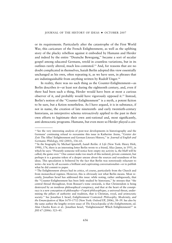or its requirements. Particularly after the catastrophe of the First World War, this caricature of the French Enlightenment, as well as the uplifting story of the plucky rebellion against it embodied by Hamann and Herder and indeed by the entire ''Deutsche Bewegung,'' became a sort of secular gospel among educated Germans, retold in countless variations, but in its outlines rarely altered, much less contested.53 And, for reasons that are no doubt complicated in themselves, Isaiah Berlin adopted this view essentially unchanged as his own, often repeating it, as we have seen, in phrases that are indistinguishable from anything written by Rudolf Unger.54

In reality, there was no such thing as the Counter-Enlightenment—as Berlin describes it—at least not during the eighteenth century, and, even if there had been such a thing, Herder would have been at most a curious observer of it, and probably would have vigorously opposed it.<sup>55</sup> Instead, Berlin's notion of the "Counter-Enlightenment" is a myth, a potent fiction to be sure, but a fiction nonetheless. As I have argued, it is in substance, if not in name, the creation of late nineteenth- and early twentieth-century historians, an interpretive schema retroactively applied to the past in their own efforts to legitimate their own anti-rational and, most significantly, anti-democratic programs. Hamann, but even more so Herder played a cen-

<sup>&</sup>lt;sup>53</sup> See the very interesting analysis of post-war developments in historiography and the Germans' continuing refusal to reexamine this issue in Katherine Arens, ''*Geister der Zeit*: The Allies' Enlightenment and German Literary History,'' in *Journal of English and Germanic Philology*, 102 (2003), 336–61.

<sup>54</sup> In the biography by Michael Ignatieff, *Isaiah Berlin: A Life* (New York: Henry Holt, 1998), 176, there is an interesting letter Berlin wrote to a friend, Alice James, in 1951, in which he says: "Presently someone will notice how empty my activity is, the bluff will be called, the game over.'' One cannot make too much of this isolated, private comment, but perhaps it is a genuine token of a deeper unease about the sources and soundness of his ideas. This speculation is bolstered by the fact that Berlin was notoriously reluctant to write—he was by all accounts a brilliant and captivating conversationalist—or to publish what he did commit to paper.

<sup>&</sup>lt;sup>55</sup> The Enlightenment always had its critics, of course, particularly from the Church and from monarchical regimes. However, this is obviously not what Berlin means. Most recently, Jonathan Israel has addressed this issue: while noting, rather ambiguously, that the ''Counter-Enlightenment has been little studied by historians,'' he stresses that ''the central thread throughout, from Bossuet's tome onwards, is that Christendom is being destroyed by an insidious philosophical conspiracy, and that at the heart of the consipiracy is a new conception of philosophy—*l'esprit philosophique*, a universal threat, undermining the pillars of authority and tradition, that is Christian, royal, and aristocratic society.'' See Jonathan I. Israel, *Enlightenment Contested: Philosophy, Modernity, and the Emancipation of Man 1670–1752* (New York: Oxford UP, 2006), 38–39. See also by the same author the lengthy review essay of *The Encyclopedia of the Enlightenment*, ed. Alan Charles Kors et al.: Jonathan Israel, ''Enlightenment! Which Enlightenment?'' in *JHI* 67 (2006): 523–45.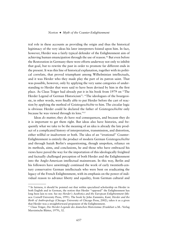tral role in these accounts as providing the origin and thus the historical legitimacy of the very ideas his later interpreters foisted upon him. In fact, however, Herder was a fairly typical defender of the Enlightenment aim of achieving human emancipation through the use of reason.56 But even before the Restoration in Germany there were efforts underway not only to inhibit that goal, but to rewrite the past in order to promote far different ends in the present. It was this line of historical explanation, together with its political correlate, that proved triumphant among Wilhelminian intellectuals, and it was Herder who they made play the part of its patron saint. That was possible, however, only by applying the very same categories of understanding to Herder that were said to have been devised by him in the first place. As Claus Träger had already put it in his book from 1979 on "The Herder Legend of German Historicism": "The ideologues of the bourgeoisie, in other words, were finally able to put Herder before the cart of reaction by applying the method of *Geistesgeschichte* to him. The circular logic is obvious: Herder could be declared the father of *Geistesgeschichte* only because he was viewed through its lens.''57

Ideas *do* matter; they *do* have real consequences, and because they do it is important to get them right. But ideas also have histories, and frequently what we take to be the meaning of an idea is already the late product of a complicated history of interpretation, transmission, and distortion, either willful or inadvertent or both. The idea of an ''irrational'' Counter-Enlightenment is entirely the product of modern German *Geistesgeschichte* and through Isaiah Berlin's unquestioning, though unspoken, reliance on its methods, aims, and conclusions, he and those who have embraced his views have paved the way for the importation of this ideologically freighted and factually challenged perception of both Herder and the Enlightenment into the Anglo-American intellectual mainstream. In this way, Berlin and his followers have unwittingly continued the work of early twentieth-century conservative German intellectuals who were bent on eradicating the legacy of the French Enlightenment, with its emphasis on the power of individual reason to advance liberty and equality, from German cultural and

<sup>56</sup> In fairness, it should be pointed out that within specialized scholarship on Herder in both English and in German, the notion that Herder ''opposed'' the Enlightenment has long been lain to rest. See my *Herder's Aesthetics and the European Enlightenment* (Ithaca: Cornell University Press, 1991). The book by John Zammito, *Kant, Herder and the Birth of Anthropology* (Chicago: University of Chicago Press, 2002), takes it as a given that Herder was a straightforward proponent of the Enlightenment.

<sup>&</sup>lt;sup>57</sup> Claus Träger, *Die Herder-Legende des deutschen Historismus* (Frankfurt a.M.: Verlag Marxistische Blätter, 1979), 32.